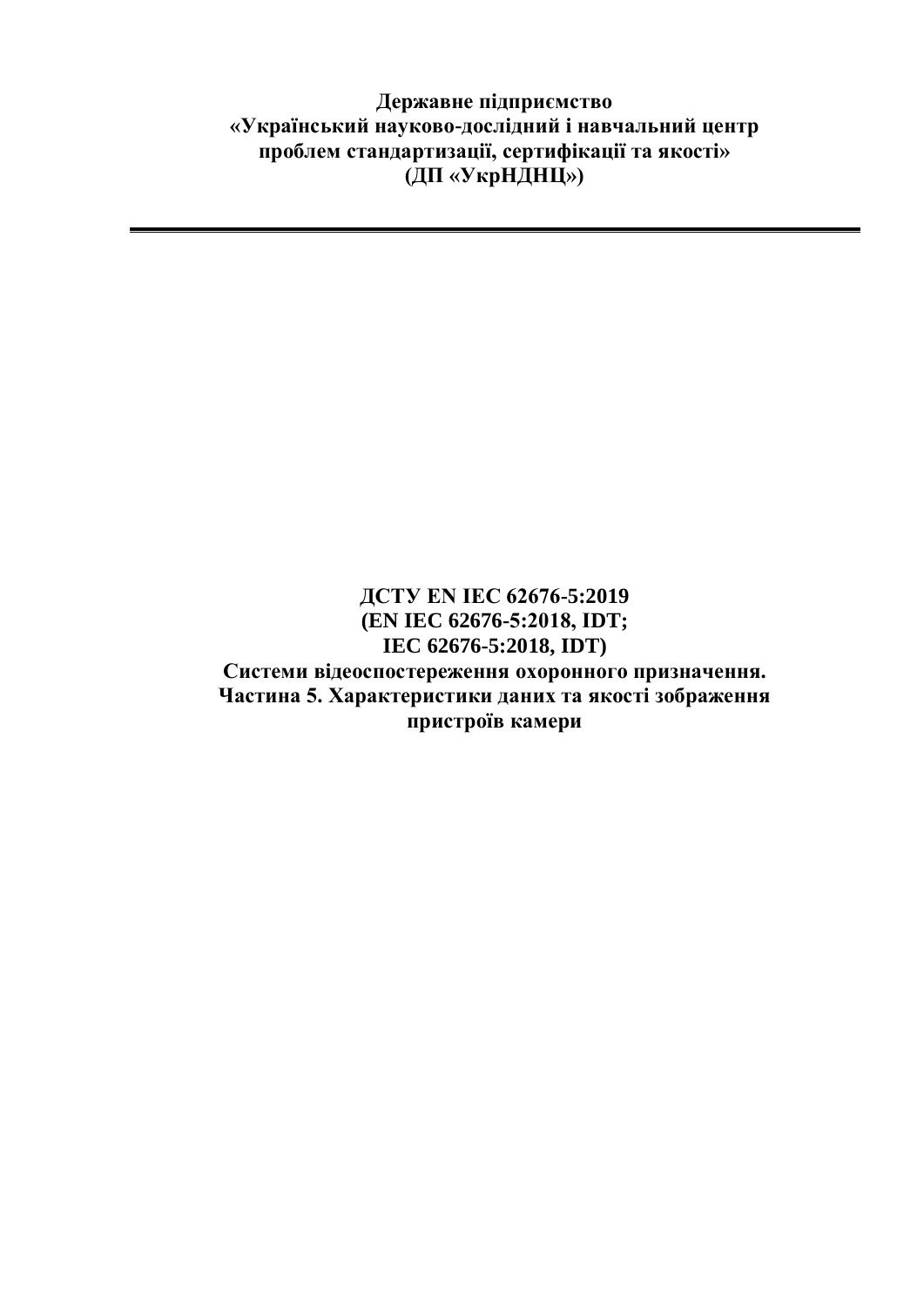**Державне підприємство «Український науково-дослідний і навчальний центр проблем стандартизації, сертифікації та якості» (ДП «УкрНДНЦ»)**

## **ДСТУ EN IEC 62676-5:2019 (EN IEC 62676-5:2018, ІDT; IEC 62676-5:2018, IDT) Системи відеоспостереження охоронного призначення. Частина 5. Характеристики даних та якості зображення пристроїв камери**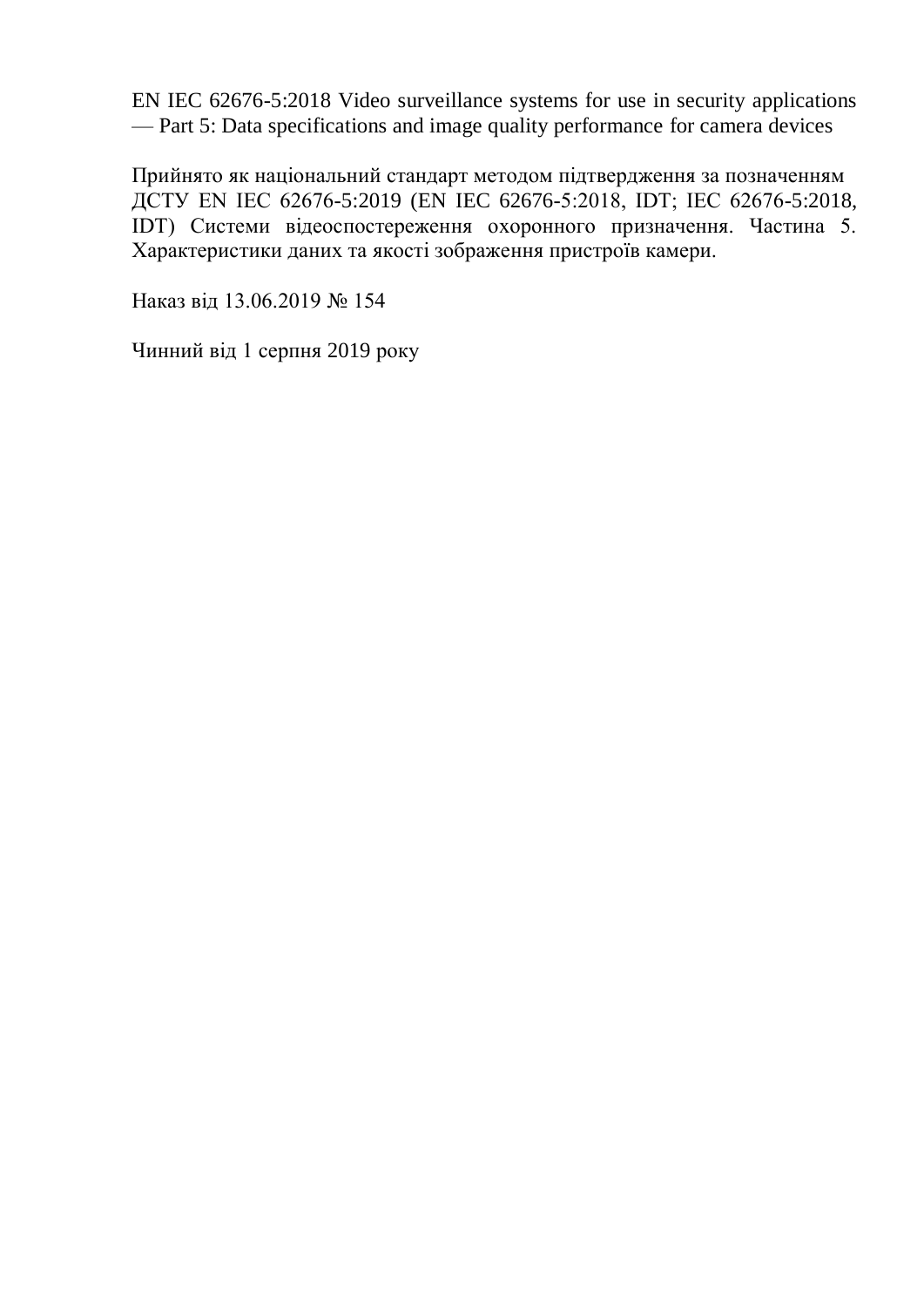EN IEC 62676-5:2018 Video surveillance systems for use in security applications — Part 5: Data specifications and image quality performance for camera devices

Прийнято як національний стандарт методом підтвердження за позначенням ДСТУ EN IEC 62676-5:2019 (EN IEC 62676-5:2018, ІDT; IEC 62676-5:2018, IDT) Системи відеоспостереження охоронного призначення. Частина 5. Характеристики даних та якості зображення пристроїв камери.

Наказ від 13.06.2019 № 154

Чинний від 1 серпня 2019 року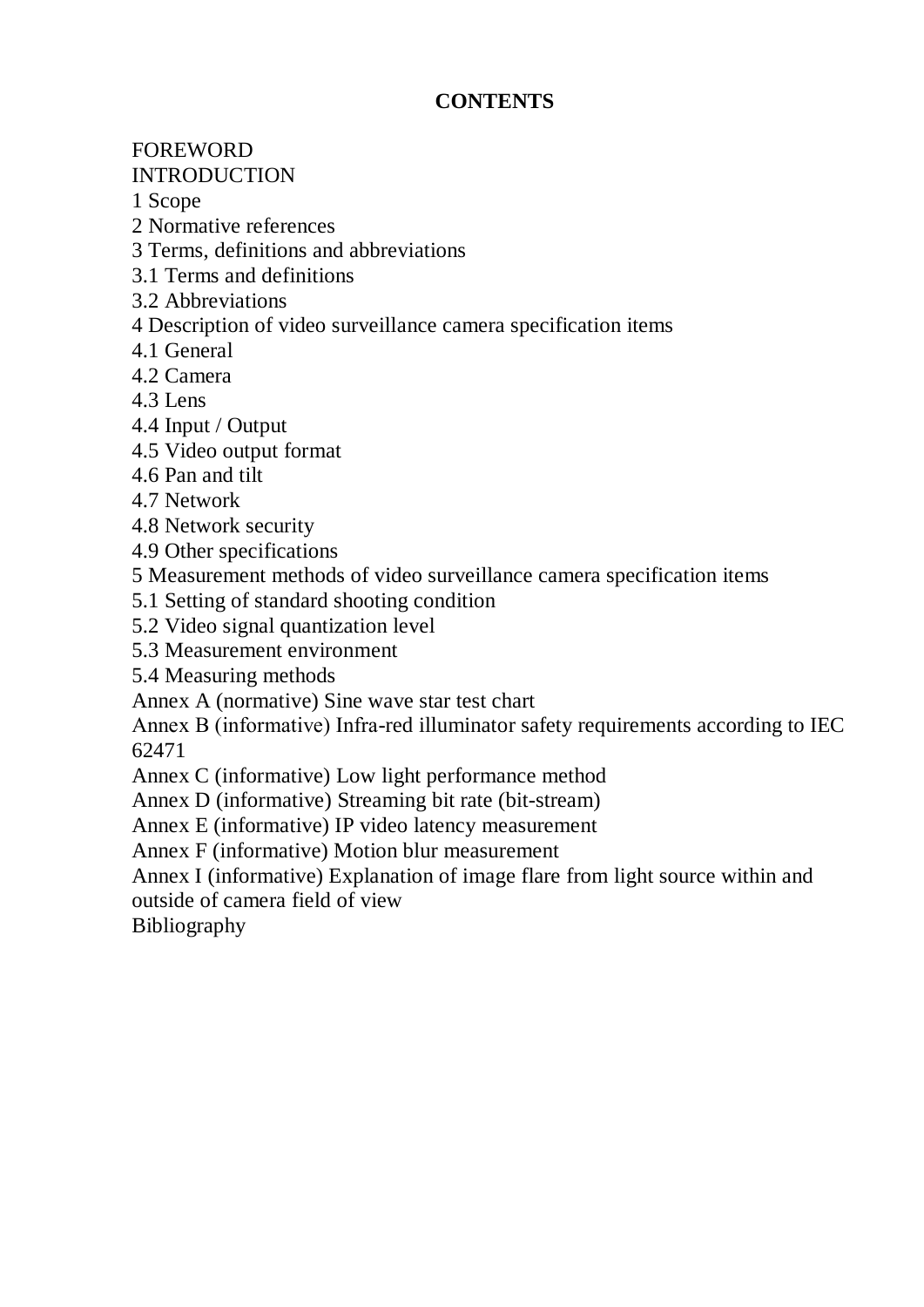# **CONTENTS**

## FOREWORD

## INTRODUCTION

1 Scope

2 Normative references

3 Terms, definitions and abbreviations

3.1 Terms and definitions

3.2 Abbreviations

4 Description of video surveillance camera specification items

4.1 General

4.2 Camera

4.3 Lens

4.4 Input / Output

4.5 Video output format

4.6 Pan and tilt

4.7 Network

4.8 Network security

4.9 Other specifications

5 Measurement methods of video surveillance camera specification items

5.1 Setting of standard shooting condition

5.2 Video signal quantization level

5.3 Measurement environment

5.4 Measuring methods

Annex A (normative) Sine wave star test chart

Annex В (informative) Infra-red illuminator safety requirements according to IEC 62471

Annex C (informative) Low light performance method

Annex D (informative) Streaming bit rate (bit-stream)

Annex E (informative) IP video latency measurement

Annex F (informative) Motion blur measurement

Annex I (informative) Explanation of image flare from light source within and outside of camera field of view

Bibliography